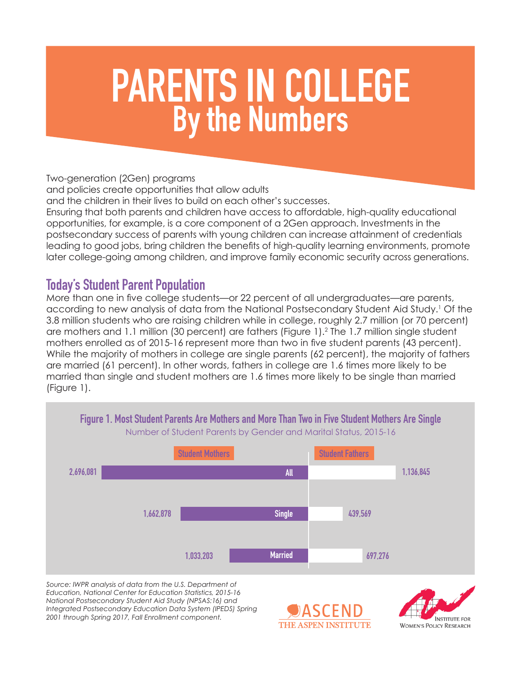# PARENTS IN COLLEGE By the Numbers

Two-generation (2Gen) programs

and policies create opportunities that allow adults

and the children in their lives to build on each other's successes.

Ensuring that both parents and children have access to affordable, high-quality educational opportunities, for example, is a core component of a 2Gen approach. Investments in the postsecondary success of parents with young children can increase attainment of credentials leading to good jobs, bring children the benefits of high-quality learning environments, promote later college-going among children, and improve family economic security across generations.

#### Today's Student Parent Population

More than one in five college students—or 22 percent of all undergraduates—are parents, according to new analysis of data from the National Postsecondary Student Aid Study.1 Of the 3.8 million students who are raising children while in college, roughly 2.7 million (or 70 percent) are mothers and 1.1 million (30 percent) are fathers (Figure 1).<sup>2</sup> The 1.7 million single student mothers enrolled as of 2015-16 represent more than two in five student parents (43 percent). While the majority of mothers in college are single parents (62 percent), the majority of fathers are married (61 percent). In other words, fathers in college are 1.6 times more likely to be married than single and student mothers are 1.6 times more likely to be single than married (Figure 1).



*Source: IWPR analysis of data from the U.S. Department of Education, National Center for Education Statistics, 2015-16 National Postsecondary Student Aid Study (NPSAS:16) and Integrated Postsecondary Education Data System (IPEDS) Spring 2001 through Spring 2017, Fall Enrollment component.*



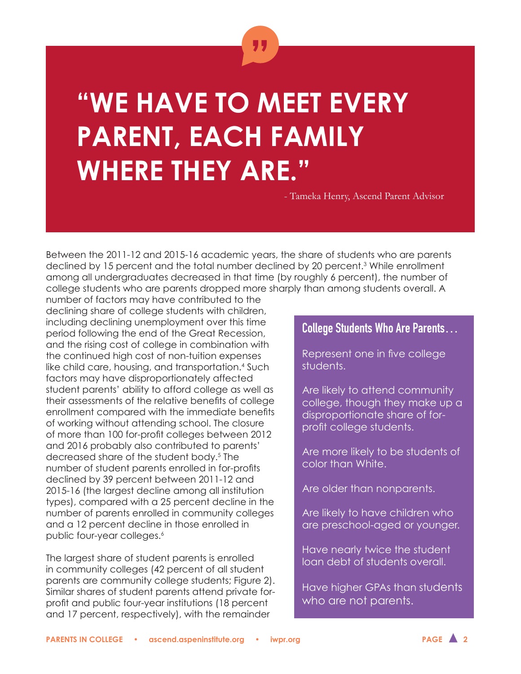

# **"WE HAVE TO MEET EVERY PARENT, EACH FAMILY WHERE THEY ARE."**

- Tameka Henry, Ascend Parent Advisor

Between the 2011-12 and 2015-16 academic years, the share of students who are parents declined by 15 percent and the total number declined by 20 percent.3 While enrollment among all undergraduates decreased in that time (by roughly 6 percent), the number of college students who are parents dropped more sharply than among students overall. A

number of factors may have contributed to the declining share of college students with children, including declining unemployment over this time period following the end of the Great Recession, and the rising cost of college in combination with the continued high cost of non-tuition expenses like child care, housing, and transportation.<sup>4</sup> Such factors may have disproportionately affected student parents' ability to afford college as well as their assessments of the relative benefits of college enrollment compared with the immediate benefits of working without attending school. The closure of more than 100 for-profit colleges between 2012 and 2016 probably also contributed to parents' decreased share of the student body.5 The number of student parents enrolled in for-profits declined by 39 percent between 2011-12 and 2015-16 (the largest decline among all institution types), compared with a 25 percent decline in the number of parents enrolled in community colleges and a 12 percent decline in those enrolled in public four-year colleges.<sup>6</sup>

The largest share of student parents is enrolled in community colleges (42 percent of all student parents are community college students; Figure 2). Similar shares of student parents attend private forprofit and public four-year institutions (18 percent and 17 percent, respectively), with the remainder

#### College Students Who Are Parents…

Represent one in five college students.

Are likely to attend community college, though they make up a disproportionate share of forprofit college students.

Are more likely to be students of color than White.

Are older than nonparents.

Are likely to have children who are preschool-aged or younger.

Have nearly twice the student loan debt of students overall.

Have higher GPAs than students who are not parents.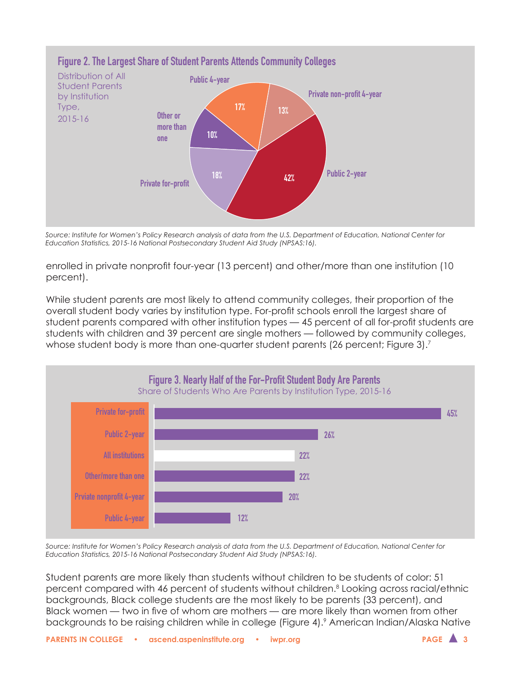

*Source: Institute for Women's Policy Research analysis of data from the U.S. Department of Education, National Center for Education Statistics, 2015-16 National Postsecondary Student Aid Study (NPSAS:16).*

enrolled in private nonprofit four-year (13 percent) and other/more than one institution (10 percent).

While student parents are most likely to attend community colleges, their proportion of the overall student body varies by institution type. For-profit schools enroll the largest share of student parents compared with other institution types — 45 percent of all for-profit students are students with children and 39 percent are single mothers — followed by community colleges, whose student body is more than one-quarter student parents (26 percent; Figure 3).<sup>7</sup>



*Source: Institute for Women's Policy Research analysis of data from the U.S. Department of Education, National Center for Education Statistics, 2015-16 National Postsecondary Student Aid Study (NPSAS:16).*

Student parents are more likely than students without children to be students of color: 51 percent compared with 46 percent of students without children.<sup>8</sup> Looking across racial/ethnic backgrounds, Black college students are the most likely to be parents (33 percent), and Black women — two in five of whom are mothers — are more likely than women from other backgrounds to be raising children while in college (Figure 4).<sup>9</sup> American Indian/Alaska Native

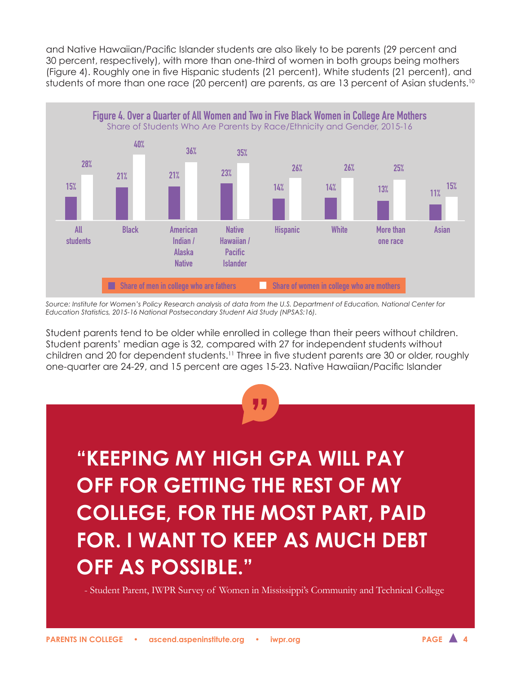and Native Hawaiian/Pacific Islander students are also likely to be parents (29 percent and 30 percent, respectively), with more than one-third of women in both groups being mothers (Figure 4). Roughly one in five Hispanic students (21 percent), White students (21 percent), and students of more than one race (20 percent) are parents, as are 13 percent of Asian students.<sup>10</sup>



*Source: Institute for Women's Policy Research analysis of data from the U.S. Department of Education, National Center for Education Statistics, 2015-16 National Postsecondary Student Aid Study (NPSAS:16).*

Student parents tend to be older while enrolled in college than their peers without children. Student parents' median age is 32, compared with 27 for independent students without children and 20 for dependent students.11 Three in five student parents are 30 or older, roughly one-quarter are 24-29, and 15 percent are ages 15-23. Native Hawaiian/Pacific Islander



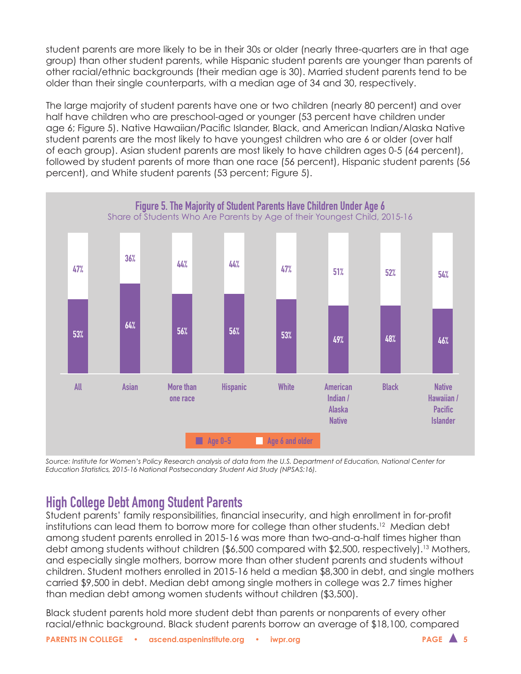student parents are more likely to be in their 30s or older (nearly three-quarters are in that age group) than other student parents, while Hispanic student parents are younger than parents of other racial/ethnic backgrounds (their median age is 30). Married student parents tend to be older than their single counterparts, with a median age of 34 and 30, respectively.

The large majority of student parents have one or two children (nearly 80 percent) and over half have children who are preschool-aged or younger (53 percent have children under age 6; Figure 5). Native Hawaiian/Pacific Islander, Black, and American Indian/Alaska Native student parents are the most likely to have youngest children who are 6 or older (over half of each group). Asian student parents are most likely to have children ages 0-5 (64 percent), followed by student parents of more than one race (56 percent), Hispanic student parents (56 percent), and White student parents (53 percent; Figure 5).



*Source: Institute for Women's Policy Research analysis of data from the U.S. Department of Education, National Center for Education Statistics, 2015-16 National Postsecondary Student Aid Study (NPSAS:16).*

## High College Debt Among Student Parents

Student parents' family responsibilities, financial insecurity, and high enrollment in for-profit institutions can lead them to borrow more for college than other students.12 Median debt among student parents enrolled in 2015-16 was more than two-and-a-half times higher than debt among students without children (\$6,500 compared with \$2,500, respectively).<sup>13</sup> Mothers, and especially single mothers, borrow more than other student parents and students without children. Student mothers enrolled in 2015-16 held a median \$8,300 in debt, and single mothers carried \$9,500 in debt. Median debt among single mothers in college was 2.7 times higher than median debt among women students without children (\$3,500).

Black student parents hold more student debt than parents or nonparents of every other racial/ethnic background. Black student parents borrow an average of \$18,100, compared

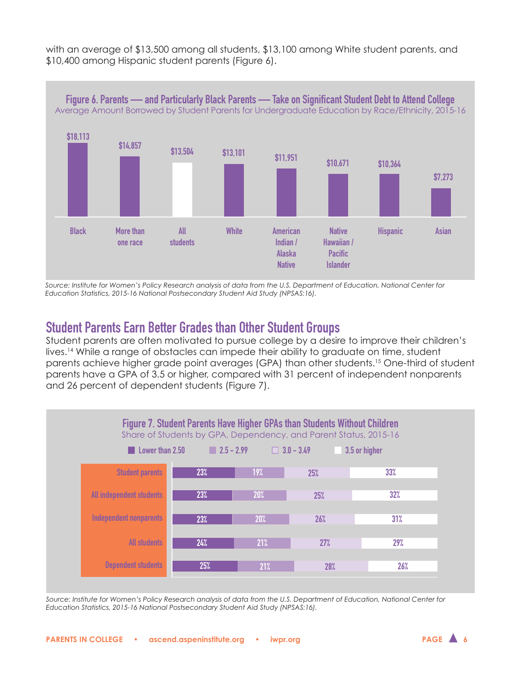with an average of \$13,500 among all students, \$13,100 among White student parents, and \$10,400 among Hispanic student parents (Figure 6).



*Source: Institute for Women's Policy Research analysis of data from the U.S. Department of Education, National Center for Education Statistics, 2015-16 National Postsecondary Student Aid Study (NPSAS:16).*

### Student Parents Earn Better Grades than Other Student Groups

Student parents are often motivated to pursue college by a desire to improve their children's lives.14 While a range of obstacles can impede their ability to graduate on time, student parents achieve higher grade point averages (GPA) than other students.15 One-third of student parents have a GPA of 3.5 or higher, compared with 31 percent of independent nonparents and 26 percent of dependent students (Figure 7).



*Source: Institute for Women's Policy Research analysis of data from the U.S. Department of Education, National Center for Education Statistics, 2015-16 National Postsecondary Student Aid Study (NPSAS:16).*

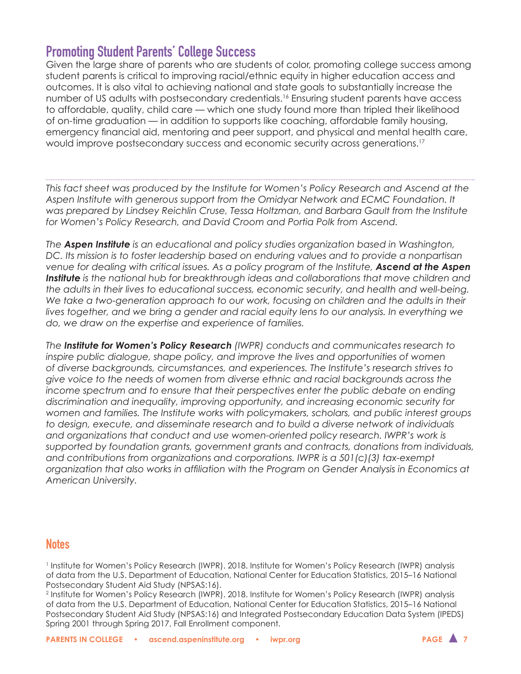#### Promoting Student Parents' College Success

Given the large share of parents who are students of color, promoting college success among student parents is critical to improving racial/ethnic equity in higher education access and outcomes. It is also vital to achieving national and state goals to substantially increase the number of US adults with postsecondary credentials.<sup>16</sup> Ensuring student parents have access to affordable, quality, child care — which one study found more than tripled their likelihood of on-time graduation — in addition to supports like coaching, affordable family housing, emergency financial aid, mentoring and peer support, and physical and mental health care, would improve postsecondary success and economic security across generations.17

*This fact sheet was produced by the Institute for Women's Policy Research and Ascend at the Aspen Institute with generous support from the Omidyar Network and ECMC Foundation. It was prepared by Lindsey Reichlin Cruse, Tessa Holtzman, and Barbara Gault from the Institute for Women's Policy Research, and David Croom and Portia Polk from Ascend.*

*The Aspen Institute is an educational and policy studies organization based in Washington, DC. Its mission is to foster leadership based on enduring values and to provide a nonpartisan*  venue for dealing with critical issues. As a policy program of the Institute, **Ascend at the Aspen** *Institute is the national hub for breakthrough ideas and collaborations that move children and the adults in their lives to educational success, economic security, and health and well-being.*  We take a two-generation approach to our work, focusing on children and the adults in their lives together, and we bring a gender and racial equity lens to our analysis. In everything we *do, we draw on the expertise and experience of families.*

*The Institute for Women's Policy Research (IWPR) conducts and communicates research to inspire public dialogue, shape policy, and improve the lives and opportunities of women of diverse backgrounds, circumstances, and experiences. The Institute's research strives to give voice to the needs of women from diverse ethnic and racial backgrounds across the income spectrum and to ensure that their perspectives enter the public debate on ending discrimination and inequality, improving opportunity, and increasing economic security for women and families. The Institute works with policymakers, scholars, and public interest groups to design, execute, and disseminate research and to build a diverse network of individuals*  and organizations that conduct and use women-oriented policy research. IWPR's work is *supported by foundation grants, government grants and contracts, donations from individuals, and contributions from organizations and corporations. IWPR is a 501(c)(3) tax-exempt organization that also works in affiliation with the Program on Gender Analysis in Economics at American University.*

#### **Notes**

1 Institute for Women's Policy Research (IWPR). 2018. Institute for Women's Policy Research (IWPR) analysis of data from the U.S. Department of Education, National Center for Education Statistics, 2015–16 National Postsecondary Student Aid Study (NPSAS:16).

2 Institute for Women's Policy Research (IWPR). 2018. Institute for Women's Policy Research (IWPR) analysis of data from the U.S. Department of Education, National Center for Education Statistics, 2015–16 National Postsecondary Student Aid Study (NPSAS:16) and Integrated Postsecondary Education Data System (IPEDS) Spring 2001 through Spring 2017, Fall Enrollment component.